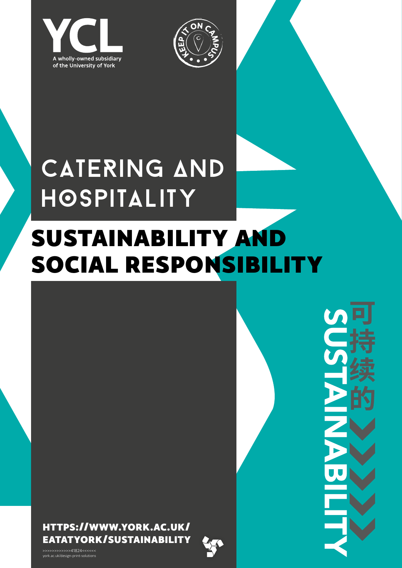



## Catering ∆nd **HOSPITALITY**

## SUSTAINABILITY AND SOCIAL RESPONSIBILITY

[HTTPS://WWW.YORK.AC.UK/](https://www.york.ac.uk/eatatyork/sustainability) [EATATYORK/SUSTAINABILITY](https://www.york.ac.uk/eatatyork/sustainability)



*[york.ac.uk/eatatyork/sustainability](https://www.york.ac.uk/eatatyork/sustainability)*

>>>>>>>>>>>>41824<<<<<< york.ac.uk/design-print-solutions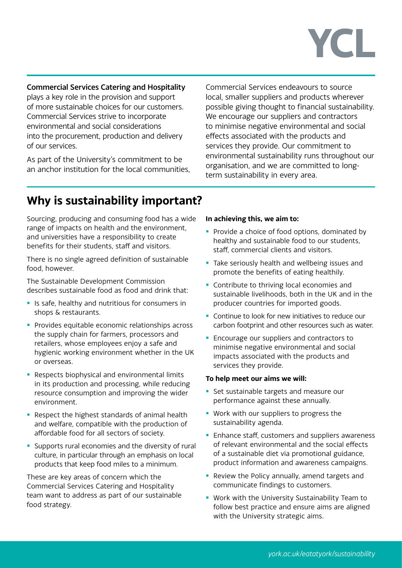# **YCL**

Commercial Services Catering and Hospitality plays a key role in the provision and support of more sustainable choices for our customers. Commercial Services strive to incorporate environmental and social considerations into the procurement, production and delivery of our services.

As part of the University's commitment to be an anchor institution for the local communities,

Commercial Services endeavours to source local, smaller suppliers and products wherever possible giving thought to financial sustainability. We encourage our suppliers and contractors to minimise negative environmental and social effects associated with the products and services they provide. Our commitment to environmental sustainability runs throughout our organisation, and we are committed to longterm sustainability in every area.

### **Why is sustainability important?**

Sourcing, producing and consuming food has a wide range of impacts on health and the environment, and universities have a responsibility to create benefits for their students, staff and visitors.

There is no single agreed definition of sustainable food, however.

The Sustainable Development Commission describes sustainable food as food and drink that:

- **If** Is safe, healthy and nutritious for consumers in shops & restaurants.
- **Provides equitable economic relationships across** the supply chain for farmers, processors and retailers, whose employees enjoy a safe and hygienic working environment whether in the UK or overseas.
- **Respects biophysical and environmental limits** in its production and processing, while reducing resource consumption and improving the wider environment.
- Respect the highest standards of animal health and welfare, compatible with the production of affordable food for all sectors of society.
- **Supports rural economies and the diversity of rural** culture, in particular through an emphasis on local products that keep food miles to a minimum.

These are key areas of concern which the Commercial Services Catering and Hospitality team want to address as part of our sustainable food strategy.

#### **In achieving this, we aim to:**

- Provide a choice of food options, dominated by healthy and sustainable food to our students, staff, commercial clients and visitors.
- Take seriously health and wellbeing issues and promote the benefits of eating healthily.
- **Contribute to thriving local economies and** sustainable livelihoods, both in the UK and in the producer countries for imported goods.
- **Continue to look for new initiatives to reduce our** carbon footprint and other resources such as water.
- **Encourage our suppliers and contractors to** minimise negative environmental and social impacts associated with the products and services they provide.

#### **To help meet our aims we will:**

- **Set sustainable targets and measure our** performance against these annually.
- **Work with our suppliers to progress the** sustainability agenda.
- **Enhance staff, customers and suppliers awareness** of relevant environmental and the social effects of a sustainable diet via promotional guidance, product information and awareness campaigns.
- Review the Policy annually, amend targets and communicate findings to customers.
- **Work with the University Sustainability Team to** follow best practice and ensure aims are aligned with the University strategic aims.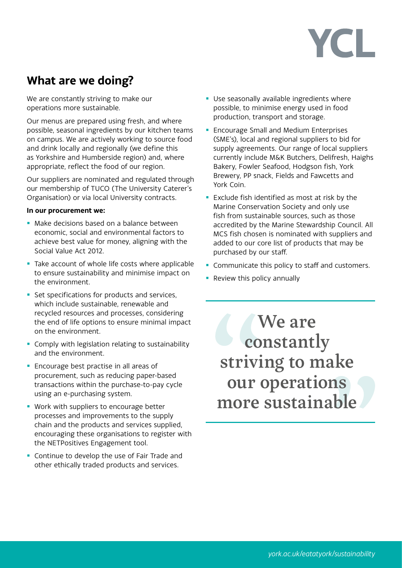# YCL

### **What are we doing?**

We are constantly striving to make our operations more sustainable.

Our menus are prepared using fresh, and where possible, seasonal ingredients by our kitchen teams on campus. We are actively working to source food and drink locally and regionally (we define this as Yorkshire and Humberside region) and, where appropriate, reflect the food of our region.

Our suppliers are nominated and regulated through our membership of TUCO (The University Caterer's Organisation) or via local University contracts.

#### **In our procurement we:**

- **Make decisions based on a balance between** economic, social and environmental factors to achieve best value for money, aligning with the Social Value Act 2012.
- Take account of whole life costs where applicable to ensure sustainability and minimise impact on the environment.
- Set specifications for products and services, which include sustainable, renewable and recycled resources and processes, considering the end of life options to ensure minimal impact on the environment.
- **Comply with legislation relating to sustainability** and the environment.
- **Encourage best practise in all areas of** procurement, such as reducing paper-based transactions within the purchase-to-pay cycle using an e-purchasing system.
- **Work with suppliers to encourage better** processes and improvements to the supply chain and the products and services supplied, encouraging these organisations to register with the NETPositives Engagement tool.
- **Continue to develop the use of Fair Trade and** other ethically traded products and services.
- **Use seasonally available ingredients where** possible, to minimise energy used in food production, transport and storage.
- **Encourage Small and Medium Enterprises** (SME's), local and regional suppliers to bid for supply agreements. Our range of local suppliers currently include M&K Butchers, Delifresh, Haighs Bakery, Fowler Seafood, Hodgson fish, York Brewery, PP snack, Fields and Fawcetts and York Coin.
- **Exclude fish identified as most at risk by the** Marine Conservation Society and only use fish from sustainable sources, such as those accredited by the Marine Stewardship Council. All MCS fish chosen is nominated with suppliers and added to our core list of products that may be purchased by our staff.
- Communicate this policy to staff and customers.
- Review this policy annually

We are constantly striving to make our operations more sustainable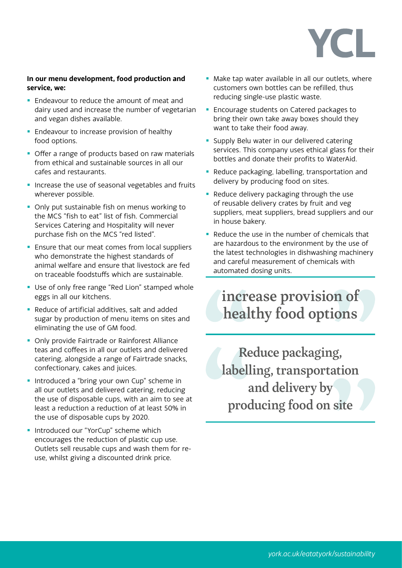# YCL.

#### **In our menu development, food production and service, we:**

- **Endeavour to reduce the amount of meat and** dairy used and increase the number of vegetarian and vegan dishes available.
- **Endeavour to increase provision of healthy** food options.
- Offer a range of products based on raw materials from ethical and sustainable sources in all our cafes and restaurants.
- **Increase the use of seasonal vegetables and fruits** wherever possible.
- Only put sustainable fish on menus working to the MCS "fish to eat" list of fish. Commercial Services Catering and Hospitality will never purchase fish on the MCS "red listed".
- **Ensure that our meat comes from local suppliers** who demonstrate the highest standards of animal welfare and ensure that livestock are fed on traceable foodstuffs which are sustainable.
- **Use of only free range "Red Lion" stamped whole** eggs in all our kitchens.
- Reduce of artificial additives, salt and added sugar by production of menu items on sites and eliminating the use of GM food.
- Only provide Fairtrade or Rainforest Alliance teas and coffees in all our outlets and delivered catering, alongside a range of Fairtrade snacks, confectionary, cakes and juices.
- **Introduced a "bring your own Cup" scheme in** all our outlets and delivered catering, reducing the use of disposable cups, with an aim to see at least a reduction a reduction of at least 50% in the use of disposable cups by 2020.
- **Introduced our "YorCup" scheme which** encourages the reduction of plastic cup use. Outlets sell reusable cups and wash them for reuse, whilst giving a discounted drink price.
- Make tap water available in all our outlets, where customers own bottles can be refilled, thus reducing single-use plastic waste.
- **Encourage students on Catered packages to** bring their own take away boxes should they want to take their food away.
- **Supply Belu water in our delivered catering** services. This company uses ethical glass for their bottles and donate their profits to WaterAid.
- **Reduce packaging, labelling, transportation and** delivery by producing food on sites.
- Reduce delivery packaging through the use of reusable delivery crates by fruit and veg suppliers, meat suppliers, bread suppliers and our in house bakery.
- Reduce the use in the number of chemicals that are hazardous to the environment by the use of the latest technologies in dishwashing machinery and careful measurement of chemicals with automated dosing units.

### increase provision of healthy food options

Reduce packaging, labelling, transportation and delivery by producing food on site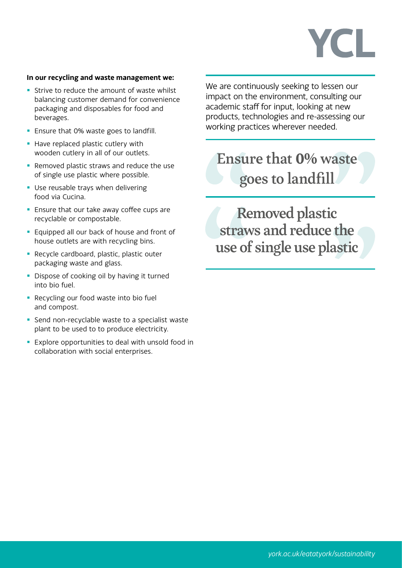# YCL.

#### **In our recycling and waste management we:**

- **Strive to reduce the amount of waste whilst** balancing customer demand for convenience packaging and disposables for food and beverages.
- **Ensure that 0% waste goes to landfill.**
- Have replaced plastic cutlery with wooden cutlery in all of our outlets.
- Removed plastic straws and reduce the use of single use plastic where possible.
- **Use reusable trays when delivering** food via Cucina.
- **Ensure that our take away coffee cups are** recyclable or compostable.
- **Equipped all our back of house and front of** house outlets are with recycling bins.
- **Recycle cardboard, plastic, plastic outer** packaging waste and glass.
- **Dispose of cooking oil by having it turned** into bio fuel.
- **Recycling our food waste into bio fuel** and compost.
- Send non-recyclable waste to a specialist waste plant to be used to to produce electricity.
- **Explore opportunities to deal with unsold food in** collaboration with social enterprises.

We are continuously seeking to lessen our impact on the environment, consulting our academic staff for input, looking at new products, technologies and re-assessing our working practices wherever needed.

### Ensure that **0%** waste goes to landfill

Removed plastic straws and reduce the use of single use plastic